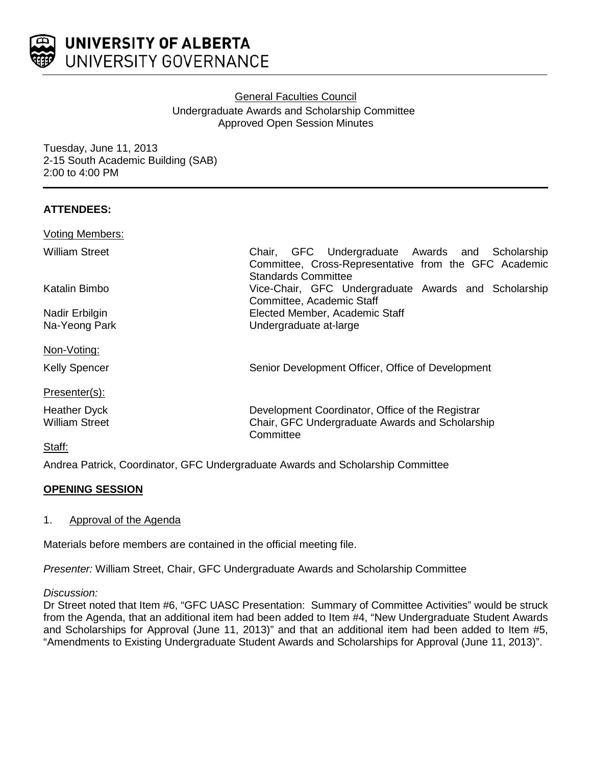

# General Faculties Council Undergraduate Awards and Scholarship Committee Approved Open Session Minutes

Tuesday, June 11, 2013 2-15 South Academic Building (SAB) 2:00 to 4:00 PM

# **ATTENDEES:**

| <b>Voting Members:</b> |                                                                                                                                 |
|------------------------|---------------------------------------------------------------------------------------------------------------------------------|
| William Street         | Chair, GFC Undergraduate Awards and Scholarship<br>Committee, Cross-Representative from the GFC Academic<br>Standards Committee |
| Katalin Bimbo          | Vice-Chair, GFC Undergraduate Awards and Scholarship<br>Committee, Academic Staff                                               |
| Nadir Erbilgin         | Elected Member, Academic Staff                                                                                                  |
| Na-Yeong Park          | Undergraduate at-large                                                                                                          |
| Non-Voting:            |                                                                                                                                 |
| <b>Kelly Spencer</b>   | Senior Development Officer, Office of Development                                                                               |
| Presenter(s):          |                                                                                                                                 |
| <b>Heather Dyck</b>    | Development Coordinator, Office of the Registrar                                                                                |
| <b>William Street</b>  | Chair, GFC Undergraduate Awards and Scholarship<br>Committee                                                                    |
| Staff:                 |                                                                                                                                 |

Andrea Patrick, Coordinator, GFC Undergraduate Awards and Scholarship Committee

# **OPENING SESSION**

# 1. Approval of the Agenda

Materials before members are contained in the official meeting file.

*Presenter:* William Street, Chair, GFC Undergraduate Awards and Scholarship Committee

*Discussion:*

Dr Street noted that Item #6, "GFC UASC Presentation: Summary of Committee Activities" would be struck from the Agenda, that an additional item had been added to Item #4, "New Undergraduate Student Awards and Scholarships for Approval (June 11, 2013)" and that an additional item had been added to Item #5, "Amendments to Existing Undergraduate Student Awards and Scholarships for Approval (June 11, 2013)".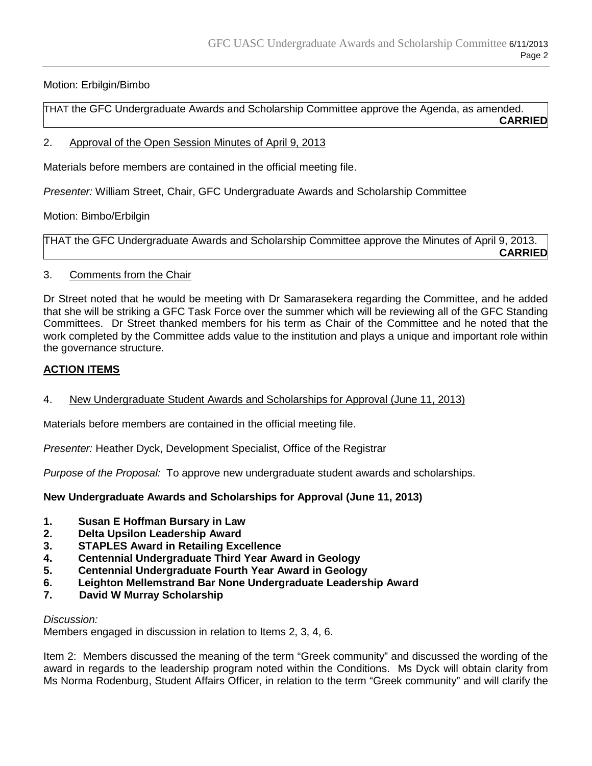# Motion: Erbilgin/Bimbo

THAT the GFC Undergraduate Awards and Scholarship Committee approve the Agenda, as amended. **CARRIED**

### 2. Approval of the Open Session Minutes of April 9, 2013

Materials before members are contained in the official meeting file.

*Presenter:* William Street, Chair, GFC Undergraduate Awards and Scholarship Committee

Motion: Bimbo/Erbilgin

THAT the GFC Undergraduate Awards and Scholarship Committee approve the Minutes of April 9, 2013. **CARRIED**

# 3. Comments from the Chair

Dr Street noted that he would be meeting with Dr Samarasekera regarding the Committee, and he added that she will be striking a GFC Task Force over the summer which will be reviewing all of the GFC Standing Committees. Dr Street thanked members for his term as Chair of the Committee and he noted that the work completed by the Committee adds value to the institution and plays a unique and important role within the governance structure.

# **ACTION ITEMS**

# 4. New Undergraduate Student Awards and Scholarships for Approval (June 11, 2013)

Materials before members are contained in the official meeting file.

*Presenter:* Heather Dyck, Development Specialist, Office of the Registrar

*Purpose of the Proposal:* To approve new undergraduate student awards and scholarships.

**New Undergraduate Awards and Scholarships for Approval (June 11, 2013)**

- **1. Susan E Hoffman Bursary in Law**
- **2. Delta Upsilon Leadership Award**
- **3. STAPLES Award in Retailing Excellence**
- **4. Centennial Undergraduate Third Year Award in Geology**
- **5. Centennial Undergraduate Fourth Year Award in Geology**
- **6. Leighton Mellemstrand Bar None Undergraduate Leadership Award**
- **7. David W Murray Scholarship**

# *Discussion:*

Members engaged in discussion in relation to Items 2, 3, 4, 6.

Item 2: Members discussed the meaning of the term "Greek community" and discussed the wording of the award in regards to the leadership program noted within the Conditions. Ms Dyck will obtain clarity from Ms Norma Rodenburg, Student Affairs Officer, in relation to the term "Greek community" and will clarify the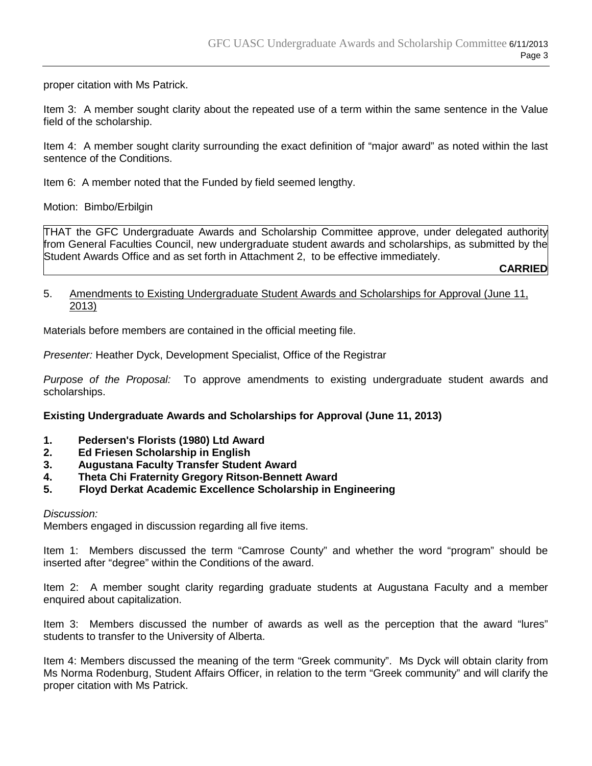proper citation with Ms Patrick.

Item 3: A member sought clarity about the repeated use of a term within the same sentence in the Value field of the scholarship.

Item 4: A member sought clarity surrounding the exact definition of "major award" as noted within the last sentence of the Conditions.

Item 6: A member noted that the Funded by field seemed lengthy.

Motion: Bimbo/Erbilgin

THAT the GFC Undergraduate Awards and Scholarship Committee approve, under delegated authority from General Faculties Council, new undergraduate student awards and scholarships, as submitted by the Student Awards Office and as set forth in Attachment 2, to be effective immediately.

**CARRIED**

#### 5. Amendments to Existing Undergraduate Student Awards and Scholarships for Approval (June 11, 2013)

Materials before members are contained in the official meeting file.

*Presenter:* Heather Dyck, Development Specialist, Office of the Registrar

*Purpose of the Proposal:* To approve amendments to existing undergraduate student awards and scholarships.

#### **Existing Undergraduate Awards and Scholarships for Approval (June 11, 2013)**

- **1. Pedersen's Florists (1980) Ltd Award**
- **2. Ed Friesen Scholarship in English**
- **3. Augustana Faculty Transfer Student Award**
- **4. Theta Chi Fraternity Gregory Ritson-Bennett Award**
- **5. Floyd Derkat Academic Excellence Scholarship in Engineering**

#### *Discussion:*

Members engaged in discussion regarding all five items.

Item 1: Members discussed the term "Camrose County" and whether the word "program" should be inserted after "degree" within the Conditions of the award.

Item 2: A member sought clarity regarding graduate students at Augustana Faculty and a member enquired about capitalization.

Item 3: Members discussed the number of awards as well as the perception that the award "lures" students to transfer to the University of Alberta.

Item 4: Members discussed the meaning of the term "Greek community". Ms Dyck will obtain clarity from Ms Norma Rodenburg, Student Affairs Officer, in relation to the term "Greek community" and will clarify the proper citation with Ms Patrick.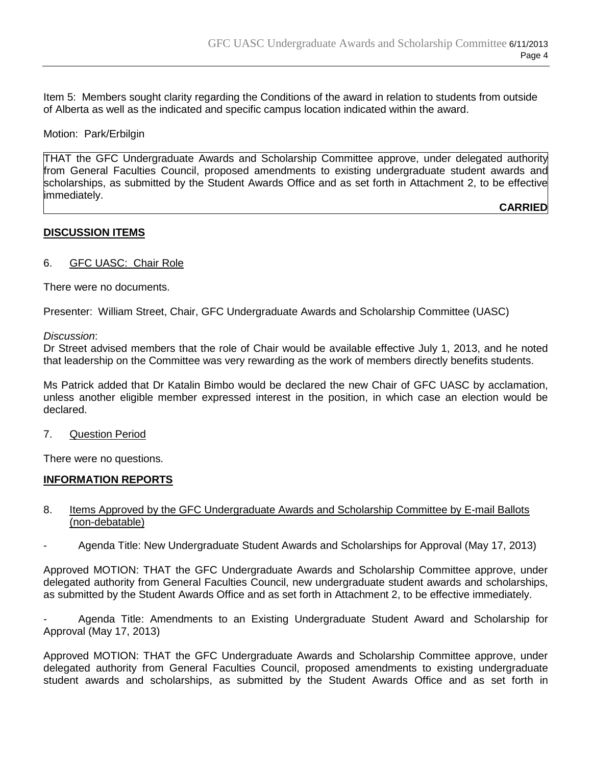Item 5: Members sought clarity regarding the Conditions of the award in relation to students from outside of Alberta as well as the indicated and specific campus location indicated within the award.

Motion: Park/Erbilgin

THAT the GFC Undergraduate Awards and Scholarship Committee approve, under delegated authority from General Faculties Council, proposed amendments to existing undergraduate student awards and scholarships, as submitted by the Student Awards Office and as set forth in Attachment 2, to be effective immediately.

**CARRIED**

### **DISCUSSION ITEMS**

#### 6. GFC UASC: Chair Role

There were no documents.

Presenter: William Street, Chair, GFC Undergraduate Awards and Scholarship Committee (UASC)

#### *Discussion*:

Dr Street advised members that the role of Chair would be available effective July 1, 2013, and he noted that leadership on the Committee was very rewarding as the work of members directly benefits students.

Ms Patrick added that Dr Katalin Bimbo would be declared the new Chair of GFC UASC by acclamation, unless another eligible member expressed interest in the position, in which case an election would be declared.

7. Question Period

There were no questions.

#### **INFORMATION REPORTS**

#### 8. Items Approved by the GFC Undergraduate Awards and Scholarship Committee by E-mail Ballots (non-debatable)

- Agenda Title: New Undergraduate Student Awards and Scholarships for Approval (May 17, 2013)

Approved MOTION: THAT the GFC Undergraduate Awards and Scholarship Committee approve, under delegated authority from General Faculties Council, new undergraduate student awards and scholarships, as submitted by the Student Awards Office and as set forth in Attachment 2, to be effective immediately.

- Agenda Title: Amendments to an Existing Undergraduate Student Award and Scholarship for Approval (May 17, 2013)

Approved MOTION: THAT the GFC Undergraduate Awards and Scholarship Committee approve, under delegated authority from General Faculties Council, proposed amendments to existing undergraduate student awards and scholarships, as submitted by the Student Awards Office and as set forth in